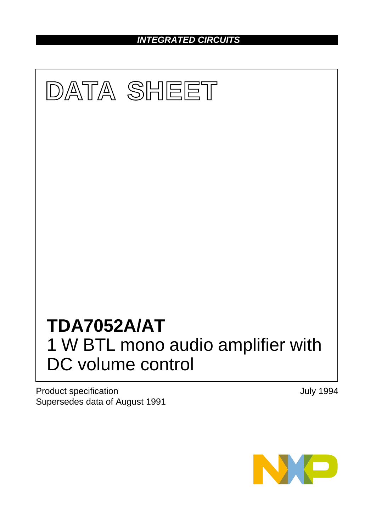*INTEGRATED CIRCUITS*



Product specification Supersedes data of August 1991 July 1994

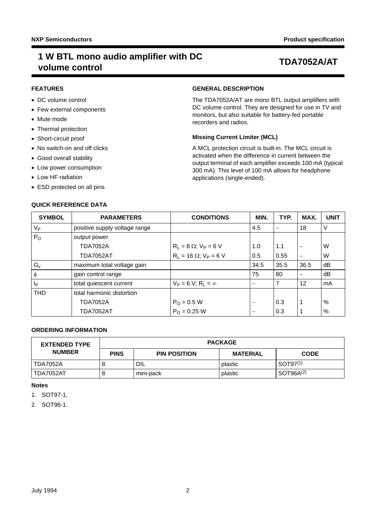# **1 W BTL mono audio amplifier with DC volume control TDA7052A/AT**

## **FEATURES**

- DC volume control
- Few external components
- Mute mode
- Thermal protection
- Short-circuit proof
- No switch-on and off clicks
- Good overall stability
- Low power consumption
- Low HF radiation
- ESD protected on all pins

## **QUICK REFERENCE DATA**

## **GENERAL DESCRIPTION**

The TDA7052A/AT are mono BTL output amplifiers with DC volume control. They are designed for use in TV and monitors, but also suitable for battery-fed portable recorders and radios.

## **Missing Current Limiter (MCL)**

A MCL protection circuit is built-in. The MCL circuit is activated when the difference in current between the output terminal of each amplifier exceeds 100 mA (typical 300 mA). This level of 100 mA allows for headphone applications (single-ended).

| <b>SYMBOL</b> | <b>PARAMETERS</b>             | <b>CONDITIONS</b>                       | MIN. | TYP. | MAX.                     | <b>UNIT</b> |
|---------------|-------------------------------|-----------------------------------------|------|------|--------------------------|-------------|
| $V_{P}$       | positive supply voltage range |                                         | 4.5  |      | 18                       | V           |
| $P_{O}$       | output power                  |                                         |      |      |                          |             |
|               | <b>TDA7052A</b>               | $R_L = 8 \Omega$ ; $V_P = 6 V$          | 1.0  | 1.1  | $\overline{\phantom{m}}$ | W           |
|               | <b>TDA7052AT</b>              | $R_1 = 16 \Omega$ ; $V_P = 6 V$         | 0.5  | 0.55 | $\overline{\phantom{m}}$ | W           |
| $G_{v}$       | maximum total voltage gain    |                                         | 34.5 | 35.5 | 36.5                     | dB          |
| Φ             | gain control range            |                                         | 75   | 80   | -                        | dB          |
| Ιp            | total quiescent current       | $V_P = 6 V$ ; R <sub>1</sub> = $\infty$ |      | 7    | 12                       | mA          |
| <b>THD</b>    | total harmonic distortion     |                                         |      |      |                          |             |
|               | <b>TDA7052A</b>               | $P_{O} = 0.5 W$                         |      | 0.3  | 1                        | %           |
|               | <b>TDA7052AT</b>              | $P_{\Omega} = 0.25$ W                   |      | 0.3  |                          | $\%$        |

## **ORDERING INFORMATION**

| <b>EXTENDED TYPE</b> | <b>PACKAGE</b> |                     |                 |                       |  |
|----------------------|----------------|---------------------|-----------------|-----------------------|--|
| <b>NUMBER</b>        | <b>PINS</b>    | <b>PIN POSITION</b> | <b>MATERIAL</b> | <b>CODE</b>           |  |
| l TDA7052A           |                | DIL                 | plastic         | SOT97 <sup>(1)</sup>  |  |
| l TDA7052AT          |                | mini-pack           | plastic         | SOT96A <sup>(2)</sup> |  |

### **Notes**

<span id="page-1-0"></span>1. SOT97-1.

<span id="page-1-1"></span>2. SOT96-1.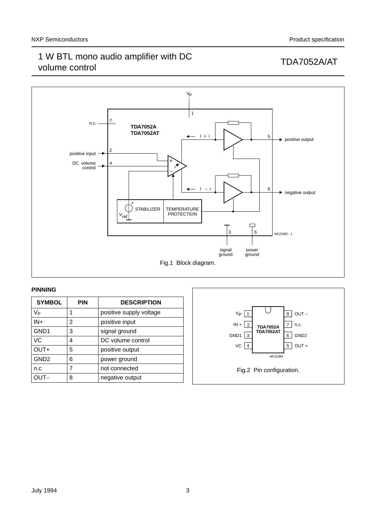

## **PINNING**

| <b>SYMBOL</b>    | <b>PIN</b> | <b>DESCRIPTION</b>      |
|------------------|------------|-------------------------|
| V <sub>Р</sub>   | 1          | positive supply voltage |
| $IN+$            | 2          | positive input          |
| GND <sub>1</sub> | 3          | signal ground           |
| VC               | 4          | DC volume control       |
| OUT+             | 5          | positive output         |
| GND <sub>2</sub> | 6          | power ground            |
| n.c              |            | not connected           |
|                  | 8          | negative output         |

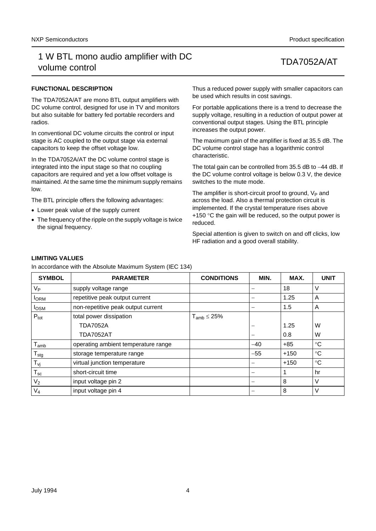## **FUNCTIONAL DESCRIPTION**

The TDA7052A/AT are mono BTL output amplifiers with DC volume control, designed for use in TV and monitors but also suitable for battery fed portable recorders and radios.

In conventional DC volume circuits the control or input stage is AC coupled to the output stage via external capacitors to keep the offset voltage low.

In the TDA7052A/AT the DC volume control stage is integrated into the input stage so that no coupling capacitors are required and yet a low offset voltage is maintained. At the same time the minimum supply remains low.

The BTL principle offers the following advantages:

- Lower peak value of the supply current
- The frequency of the ripple on the supply voltage is twice the signal frequency.

Thus a reduced power supply with smaller capacitors can be used which results in cost savings.

For portable applications there is a trend to decrease the supply voltage, resulting in a reduction of output power at conventional output stages. Using the BTL principle increases the output power.

The maximum gain of the amplifier is fixed at 35.5 dB. The DC volume control stage has a logarithmic control characteristic.

The total gain can be controlled from 35.5 dB to −44 dB. If the DC volume control voltage is below 0.3 V, the device switches to the mute mode.

The amplifier is short-circuit proof to ground,  $V_P$  and across the load. Also a thermal protection circuit is implemented. If the crystal temperature rises above  $+150$  °C the gain will be reduced, so the output power is reduced.

Special attention is given to switch on and off clicks, low HF radiation and a good overall stability.

## **LIMITING VALUES**

In accordance with the Absolute Maximum System (IEC 134)

| <b>SYMBOL</b>               | <b>PARAMETER</b>                    | <b>CONDITIONS</b>   | MIN.  | MAX.   | <b>UNIT</b> |
|-----------------------------|-------------------------------------|---------------------|-------|--------|-------------|
| $V_{P}$                     | supply voltage range                |                     |       | 18     | V           |
| <b>I</b> ORM                | repetitive peak output current      |                     |       | 1.25   | A           |
| $I_{OSM}$                   | non-repetitive peak output current  |                     |       | 1.5    | A           |
| $P_{\text{tot}}$            | total power dissipation             | $T_{amb} \leq 25\%$ |       |        |             |
|                             | <b>TDA7052A</b>                     |                     |       | 1.25   | W           |
|                             | <b>TDA7052AT</b>                    |                     |       | 0.8    | W           |
| $T_{amb}$                   | operating ambient temperature range |                     | $-40$ | $+85$  | $^{\circ}C$ |
| $\mathsf{T}_{\textsf{stg}}$ | storage temperature range           |                     | $-55$ | $+150$ | $^{\circ}C$ |
| $T_{\nu j}$                 | virtual junction temperature        |                     |       | $+150$ | °C          |
| $T_{sc}$                    | short-circuit time                  |                     |       |        | hr          |
| V <sub>2</sub>              | input voltage pin 2                 |                     |       | 8      | V           |
| $V_4$                       | input voltage pin 4                 |                     |       | 8      | V           |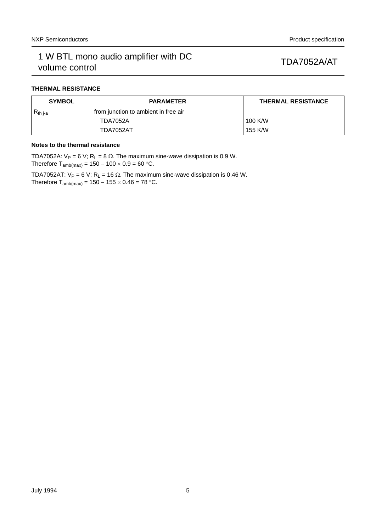## **THERMAL RESISTANCE**

| <b>SYMBOL</b> | <b>PARAMETER</b>                     | THERMAL RESISTANCE |
|---------------|--------------------------------------|--------------------|
| $R_{th i-a}$  | from junction to ambient in free air |                    |
|               | <b>TDA7052A</b>                      | 100 K/W            |
|               | TDA7052AT                            | 155 K/W            |

## **Notes to the thermal resistance**

TDA7052A:  $V_P = 6 V$ ; R<sub>L</sub> = 8  $\Omega$ . The maximum sine-wave dissipation is 0.9 W. Therefore  $T_{amb(max)} = 150 - 100 \times 0.9 = 60 °C$ .

TDA7052AT:  $V_P = 6 V$ ; R<sub>L</sub> = 16  $\Omega$ . The maximum sine-wave dissipation is 0.46 W. Therefore  $T_{amb(max)} = 150 - 155 \times 0.46 = 78$  °C.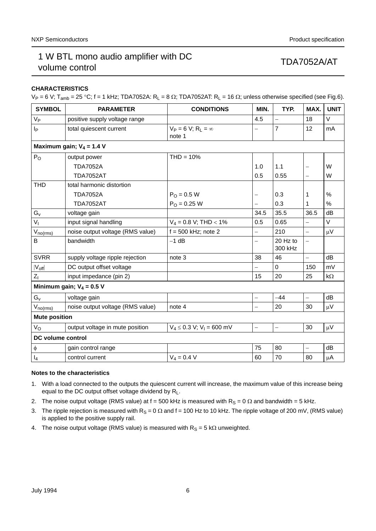## **CHARACTERISTICS**

 $V_P = 6$  V; T<sub>amb</sub> = 25 °C; f = 1 kHz; TDA7052A: R<sub>L</sub> = 8  $\Omega$ ; TDA7052AT: R<sub>L</sub> = 16  $\Omega$ ; unless otherwise specified (see Fig.6).

| <b>SYMBOL</b>        | <b>PARAMETER</b>                 | <b>CONDITIONS</b>                                 | MIN.     | TYP.                | MAX.                     | <b>UNIT</b> |
|----------------------|----------------------------------|---------------------------------------------------|----------|---------------------|--------------------------|-------------|
| V <sub>P</sub>       | positive supply voltage range    |                                                   | 4.5      | $\qquad \qquad -$   | 18                       | $\vee$      |
| Iр                   | total quiescent current          | $V_P = 6 V$ ; R <sub>1</sub> = $\infty$<br>note 1 |          | $\overline{7}$      | 12                       | mA          |
|                      | Maximum gain; $V_4$ = 1.4 V      |                                                   |          |                     |                          |             |
| $P_{O}$              | output power                     | $THD = 10%$                                       |          |                     |                          |             |
|                      | <b>TDA7052A</b>                  |                                                   | 1.0      | 1.1                 |                          | W           |
|                      | <b>TDA7052AT</b>                 |                                                   | 0.5      | 0.55                | $\equiv$                 | W           |
| <b>THD</b>           | total harmonic distortion        |                                                   |          |                     |                          |             |
|                      | <b>TDA7052A</b>                  | $P_{O} = 0.5 W$                                   |          | 0.3                 | 1                        | %           |
|                      | <b>TDA7052AT</b>                 | $P_{\Omega} = 0.25 W$                             |          | 0.3                 | 1                        | $\%$        |
| $G_{V}$              | voltage gain                     |                                                   | 34.5     | 35.5                | 36.5                     | dB          |
| $V_{\parallel}$      | input signal handling            | $V_4$ = 0.8 V; THD < 1%                           | 0.5      | 0.65                |                          | V           |
| $V_{no(rms)}$        | noise output voltage (RMS value) | $f = 500$ kHz; note 2                             | $\equiv$ | 210                 | $\equiv$                 | $\mu$ V     |
| B                    | bandwidth                        | $-1$ dB                                           |          | 20 Hz to<br>300 kHz | $\overline{\phantom{0}}$ |             |
| <b>SVRR</b>          | supply voltage ripple rejection  | note 3                                            | 38       | 46                  | $\overline{\phantom{0}}$ | dB          |
| $ V_{off} $          | DC output offset voltage         |                                                   |          | $\Omega$            | 150                      | mV          |
| $Z_{1}$              | input impedance (pin 2)          |                                                   | 15       | 20                  | 25                       | $k\Omega$   |
|                      | Minimum gain; $V_4 = 0.5 V$      |                                                   |          |                     |                          |             |
| $G_{v}$              | voltage gain                     |                                                   | $\equiv$ | $-44$               | $\equiv$                 | dB          |
| $V_{no(rms)}$        | noise output voltage (RMS value) | note 4                                            |          | 20                  | 30                       | $\mu V$     |
| <b>Mute position</b> |                                  |                                                   |          |                     |                          |             |
| V <sub>o</sub>       | output voltage in mute position  | $V_4 \le 0.3$ V; V <sub>1</sub> = 600 mV          | $\equiv$ | $\qquad \qquad -$   | 30                       | $\mu V$     |
| DC volume control    |                                  |                                                   |          |                     |                          |             |
| φ                    | gain control range               |                                                   | 75       | 80                  | $\qquad \qquad -$        | dB          |
| $I_4$                | control current                  | $V_4 = 0.4 V$                                     | 60       | 70                  | 80                       | μA          |

## **Notes to the characteristics**

- 1. With a load connected to the outputs the quiescent current will increase, the maximum value of this increase being equal to the DC output offset voltage dividend by RL.
- 2. The noise output voltage (RMS value) at f = 500 kHz is measured with  $R_S = 0 \Omega$  and bandwidth = 5 kHz.
- 3. The ripple rejection is measured with  $R_S = 0 \Omega$  and f = 100 Hz to 10 kHz. The ripple voltage of 200 mV, (RMS value) is applied to the positive supply rail.
- 4. The noise output voltage (RMS value) is measured with  $R_S = 5 k\Omega$  unweighted.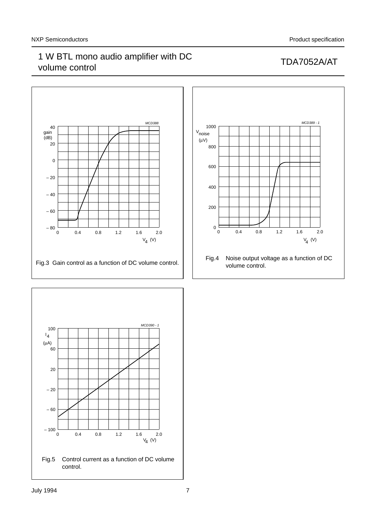

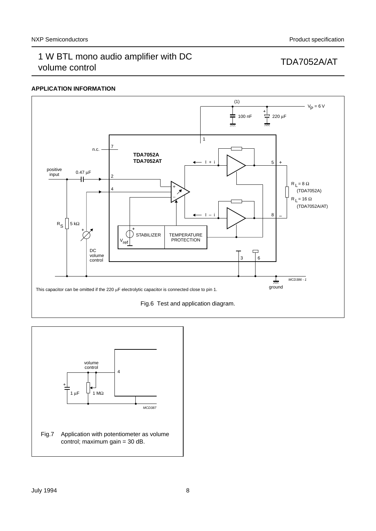## **APPLICATION INFORMATION**



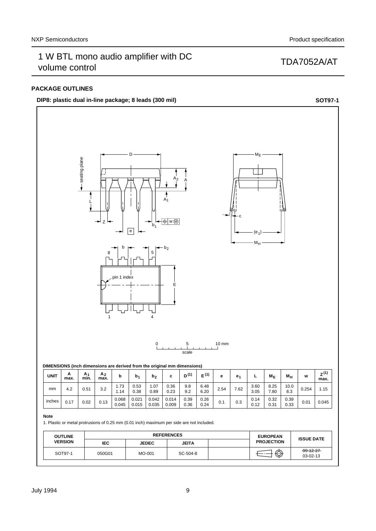## **PACKAGE OUTLINES**

## **DIP8:** plastic dual in-line package; 8 leads (300 mil) **SOT97-1 SOT97-1**



| ۰,<br>I<br>$\sim$<br>$\sim$ |
|-----------------------------|
|                             |

inches 0.068

1. Plastic or metal protrusions of 0.25 mm (0.01 inch) maximum per side are not included.

0.021 0.015 0.042 0.035

0.045

| <b>REFERENCES</b><br><b>OUTLINE</b> |        |              | <b>EUROPEAN</b> | <b>ISSUE DATE</b> |                               |
|-------------------------------------|--------|--------------|-----------------|-------------------|-------------------------------|
| <b>VERSION</b>                      | IEC    | <b>JEDEC</b> | <b>JEITA</b>    | <b>PROJECTION</b> |                               |
| SOT97-1                             | 050G01 | MO-001       | SC-504-8        | ⊕                 | $-99 - 12 - 27$<br>$03-02-13$ |

0.39 0.36 0.26 0.24

0.33 0.17 0.02 0.13 0.045

 $0.14$ <br> $0.12$  $0.1\quad 0.3 \quad 0.14 \quad 0.32 \quad 0.33 \quad 0.01$ 0.31

0.39<br>0.33

0.014 0.009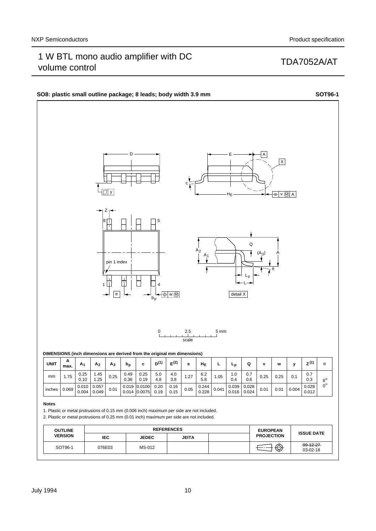### **SO8: plastic small outline package; 8 leads; body width 3.9 mm <b>SOT96-1 SOT96-1** D E A  $\overline{X}$ c y  $\sqrt{M}$  A HE Z 5 8 Q  $A<sub>2</sub>$  $(A_3)$  $A_1$   $(A_3)$   $A$ pin 1 index θ Lp ╫ L 1 4  $\overline{\bigoplus}$  w  $\overline{\bigoplus}$ detail X  $\overline{e}$ b<sub>p</sub>  $0$  2.5 5 mm scale **DIMENSIONS (inch dimensions are derived from the original mm dimensions) A UNIT m**ax.  $\begin{bmatrix} A_1 \end{bmatrix} A_2 \begin{bmatrix} A_3 \end{bmatrix} b_p$  **c**  $\begin{bmatrix} D^{(1)} \end{bmatrix} E^{(2)}$  **e**  $\begin{bmatrix} H_E \end{bmatrix} L \begin{bmatrix} L_p \end{bmatrix} Q \begin{bmatrix} Q \end{bmatrix} v \begin{bmatrix} w \end{bmatrix} y \begin{bmatrix} Z^{(1)} \end{bmatrix} \theta$  $1.75 \begin{array}{|c|c|} 0.25 \\ 0.49 \end{array}$  $\begin{array}{|c|c|c|c|c|} \hline 1.45 & 0.25 & 0.49 \\ \hline 1.25 & 0.36 & & \hline \end{array}$ 1.45 0.25 5.0 4.0  $\begin{array}{|c|c|c|c|c|} \hline 4.0 & 1.27 & 6.2 \\ \hline 3.8 & 1.27 & 5.8 \\ \hline \end{array}$  $1.05 \begin{array}{|c|c|c|} \hline 1.0 & 0.7 \\ 0.4 & 0.6 \end{array}$ 1.0 0.7 mm  $0.25$  0.25 0.1 0.36 0.10 0.19 4.8 0.4 0.6  $0.3$  $8^{\rm o}$  $0.028$  $0^{\circ}$  $0.069 0.010$  $\begin{array}{|c|c|c|c|c|c|c|}\n 0.057 & 0.01 & 0.019 \\
\hline\n 0.049 & 0.01 & 0.014\n \end{array}$ 0.057 0.0100  $0.20$  $\overline{0.16}$ <br>0.15  $0.05 \begin{array}{|c|c|} \hline 0.244 \\ 0.229 \end{array}$  $0.028$  $0.041 \begin{array}{|c|c|c|c|c|c|c|c|} \hline 0.039 & 0.028 & 0.01 & 0.01 & 0.004 & 0.012 \ \hline 0.010 & 0.012 & 0.01 & 0.004 & 0.012 \ \hline \end{array}$ inches 0.004 0.014 0.016 0.0075 0.19 0.228 0.024 **Notes** 1. Plastic or metal protrusions of 0.15 mm (0.006 inch) maximum per side are not included. 2. Plastic or metal protrusions of 0.25 mm (0.01 inch) maximum per side are not included. **OUTLINE** REFERENCES **EUROPEAN PROJECTION ISSUE DATE VERSION IEC JEDEC JEITA**

## July 1994 10

SOT96-1

076E03 | MS-012

 $99 - 12 - 27$  $03-02-18$ 

 $\bigoplus \bigoplus$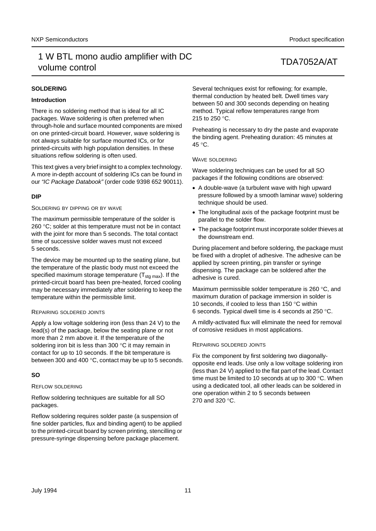## **SOLDERING**

## **Introduction**

There is no soldering method that is ideal for all IC packages. Wave soldering is often preferred when through-hole and surface mounted components are mixed on one printed-circuit board. However, wave soldering is not always suitable for surface mounted ICs, or for printed-circuits with high population densities. In these situations reflow soldering is often used.

This text gives a very brief insight to a complex technology. A more in-depth account of soldering ICs can be found in our *"IC Package Databook"* (order code 9398 652 90011).

## **DIP**

### SOLDERING BY DIPPING OR BY WAVE

The maximum permissible temperature of the solder is 260 °C; solder at this temperature must not be in contact with the joint for more than 5 seconds. The total contact time of successive solder waves must not exceed 5 seconds.

The device may be mounted up to the seating plane, but the temperature of the plastic body must not exceed the specified maximum storage temperature  $(T_{\text{sta max}})$ . If the printed-circuit board has been pre-heated, forced cooling may be necessary immediately after soldering to keep the temperature within the permissible limit.

## REPAIRING SOLDERED JOINTS

Apply a low voltage soldering iron (less than 24 V) to the lead(s) of the package, below the seating plane or not more than 2 mm above it. If the temperature of the soldering iron bit is less than 300 °C it may remain in contact for up to 10 seconds. If the bit temperature is between 300 and 400 °C, contact may be up to 5 seconds.

## **SO**

### REFLOW SOLDERING

Reflow soldering techniques are suitable for all SO packages.

Reflow soldering requires solder paste (a suspension of fine solder particles, flux and binding agent) to be applied to the printed-circuit board by screen printing, stencilling or pressure-syringe dispensing before package placement.

Several techniques exist for reflowing; for example, thermal conduction by heated belt. Dwell times vary between 50 and 300 seconds depending on heating method. Typical reflow temperatures range from 215 to 250 °C.

Preheating is necessary to dry the paste and evaporate the binding agent. Preheating duration: 45 minutes at 45 °C.

### WAVE SOLDERING

Wave soldering techniques can be used for all SO packages if the following conditions are observed:

- A double-wave (a turbulent wave with high upward pressure followed by a smooth laminar wave) soldering technique should be used.
- The longitudinal axis of the package footprint must be parallel to the solder flow.
- The package footprint must incorporate solder thieves at the downstream end.

During placement and before soldering, the package must be fixed with a droplet of adhesive. The adhesive can be applied by screen printing, pin transfer or syringe dispensing. The package can be soldered after the adhesive is cured.

Maximum permissible solder temperature is 260 °C, and maximum duration of package immersion in solder is 10 seconds, if cooled to less than 150 °C within 6 seconds. Typical dwell time is 4 seconds at 250 °C.

A mildly-activated flux will eliminate the need for removal of corrosive residues in most applications.

## REPAIRING SOLDERED JOINTS

Fix the component by first soldering two diagonallyopposite end leads. Use only a low voltage soldering iron (less than 24 V) applied to the flat part of the lead. Contact time must be limited to 10 seconds at up to 300 °C. When using a dedicated tool, all other leads can be soldered in one operation within 2 to 5 seconds between 270 and 320 °C.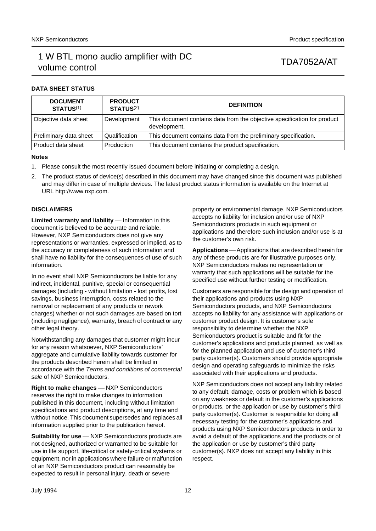# 1 W BTL mono audio amplifier with DC volume control volume control volume control

## **DATA SHEET STATUS**

| <b>DOCUMENT</b><br><b>STATUS(1)</b> | <b>PRODUCT</b><br>STATUS <sup>(2)</sup> | <b>DEFINITION</b>                                                                        |
|-------------------------------------|-----------------------------------------|------------------------------------------------------------------------------------------|
| Objective data sheet                | Development                             | This document contains data from the objective specification for product<br>development. |
| Preliminary data sheet              | Qualification                           | This document contains data from the preliminary specification.                          |
| Product data sheet                  | Production                              | This document contains the product specification.                                        |

### **Notes**

- <span id="page-11-0"></span>1. Please consult the most recently issued document before initiating or completing a design.
- <span id="page-11-1"></span>2. The product status of device(s) described in this document may have changed since this document was published and may differ in case of multiple devices. The latest product status information is available on the Internet at URL http://www.nxp.com.

## **DISCLAIMERS**

**Limited warranty and liability** - Information in this document is believed to be accurate and reliable. However, NXP Semiconductors does not give any representations or warranties, expressed or implied, as to the accuracy or completeness of such information and shall have no liability for the consequences of use of such information.

In no event shall NXP Semiconductors be liable for any indirect, incidental, punitive, special or consequential damages (including - without limitation - lost profits, lost savings, business interruption, costs related to the removal or replacement of any products or rework charges) whether or not such damages are based on tort (including negligence), warranty, breach of contract or any other legal theory.

Notwithstanding any damages that customer might incur for any reason whatsoever, NXP Semiconductors' aggregate and cumulative liability towards customer for the products described herein shall be limited in accordance with the *Terms and conditions of commercial sale* of NXP Semiconductors.

**Right to make changes** - NXP Semiconductors reserves the right to make changes to information published in this document, including without limitation specifications and product descriptions, at any time and without notice. This document supersedes and replaces all information supplied prior to the publication hereof.

**Suitability for use** - NXP Semiconductors products are not designed, authorized or warranted to be suitable for use in life support, life-critical or safety-critical systems or equipment, nor in applications where failure or malfunction of an NXP Semiconductors product can reasonably be expected to result in personal injury, death or severe

property or environmental damage. NXP Semiconductors accepts no liability for inclusion and/or use of NXP Semiconductors products in such equipment or applications and therefore such inclusion and/or use is at the customer's own risk.

Applications Applications that are described herein for any of these products are for illustrative purposes only. NXP Semiconductors makes no representation or warranty that such applications will be suitable for the specified use without further testing or modification.

Customers are responsible for the design and operation of their applications and products using NXP Semiconductors products, and NXP Semiconductors accepts no liability for any assistance with applications or customer product design. It is customer's sole responsibility to determine whether the NXP Semiconductors product is suitable and fit for the customer's applications and products planned, as well as for the planned application and use of customer's third party customer(s). Customers should provide appropriate design and operating safeguards to minimize the risks associated with their applications and products.

NXP Semiconductors does not accept any liability related to any default, damage, costs or problem which is based on any weakness or default in the customer's applications or products, or the application or use by customer's third party customer(s). Customer is responsible for doing all necessary testing for the customer's applications and products using NXP Semiconductors products in order to avoid a default of the applications and the products or of the application or use by customer's third party customer(s). NXP does not accept any liability in this respect.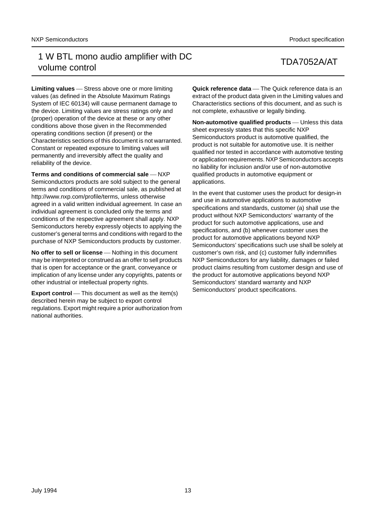**Limiting values** – Stress above one or more limiting values (as defined in the Absolute Maximum Ratings System of IEC 60134) will cause permanent damage to the device. Limiting values are stress ratings only and (proper) operation of the device at these or any other conditions above those given in the Recommended operating conditions section (if present) or the Characteristics sections of this document is not warranted. Constant or repeated exposure to limiting values will permanently and irreversibly affect the quality and reliability of the device.

**Terms and conditions of commercial sale** - NXP Semiconductors products are sold subject to the general terms and conditions of commercial sale, as published at http://www.nxp.com/profile/terms, unless otherwise agreed in a valid written individual agreement. In case an individual agreement is concluded only the terms and conditions of the respective agreement shall apply. NXP Semiconductors hereby expressly objects to applying the customer's general terms and conditions with regard to the purchase of NXP Semiconductors products by customer.

**No offer to sell or license** – Nothing in this document may be interpreted or construed as an offer to sell products that is open for acceptance or the grant, conveyance or implication of any license under any copyrights, patents or other industrial or intellectual property rights.

**Export control** — This document as well as the item(s) described herein may be subject to export control regulations. Export might require a prior authorization from national authorities.

**Quick reference data** — The Quick reference data is an extract of the product data given in the Limiting values and Characteristics sections of this document, and as such is not complete, exhaustive or legally binding.

**Non-automotive qualified products** — Unless this data sheet expressly states that this specific NXP Semiconductors product is automotive qualified, the product is not suitable for automotive use. It is neither qualified nor tested in accordance with automotive testing or application requirements. NXP Semiconductors accepts no liability for inclusion and/or use of non-automotive qualified products in automotive equipment or applications.

In the event that customer uses the product for design-in and use in automotive applications to automotive specifications and standards, customer (a) shall use the product without NXP Semiconductors' warranty of the product for such automotive applications, use and specifications, and (b) whenever customer uses the product for automotive applications beyond NXP Semiconductors' specifications such use shall be solely at customer's own risk, and (c) customer fully indemnifies NXP Semiconductors for any liability, damages or failed product claims resulting from customer design and use of the product for automotive applications beyond NXP Semiconductors' standard warranty and NXP Semiconductors' product specifications.